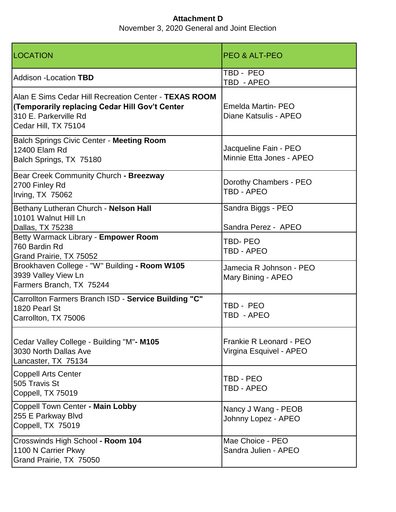| <b>LOCATION</b>                                                                                                                                          | <b>PEO &amp; ALT-PEO</b>                           |
|----------------------------------------------------------------------------------------------------------------------------------------------------------|----------------------------------------------------|
| <b>Addison -Location TBD</b>                                                                                                                             | TBD - PEO<br>TBD - APEO                            |
| Alan E Sims Cedar Hill Recreation Center - TEXAS ROOM<br>(Temporarily replacing Cedar Hill Gov't Center<br>310 E. Parkerville Rd<br>Cedar Hill, TX 75104 | Emelda Martin- PEO<br>Diane Katsulis - APEO        |
| Balch Springs Civic Center - Meeting Room<br>12400 Elam Rd<br>Balch Springs, TX 75180                                                                    | Jacqueline Fain - PEO<br>Minnie Etta Jones - APEO  |
| Bear Creek Community Church - Breezway<br>2700 Finley Rd<br>Irving, TX 75062                                                                             | Dorothy Chambers - PEO<br>TBD - APEO               |
| Bethany Lutheran Church - Nelson Hall<br>10101 Walnut Hill Ln<br>Dallas, TX 75238                                                                        | Sandra Biggs - PEO<br>Sandra Perez - APEO          |
| Betty Warmack Library - Empower Room<br>760 Bardin Rd<br>Grand Prairie, TX 75052                                                                         | <b>TBD-PEO</b><br>TBD - APEO                       |
| Brookhaven College - "W" Building - Room W105<br>3939 Valley View Ln<br>Farmers Branch, TX 75244                                                         | Jamecia R Johnson - PEO<br>Mary Bining - APEO      |
| Carrollton Farmers Branch ISD - Service Building "C"<br>1820 Pearl St<br>Carrollton, TX 75006                                                            | TBD - PEO<br>TBD - APEO                            |
| Cedar Valley College - Building "M"- M105<br>3030 North Dallas Ave<br>Lancaster, TX 75134                                                                | Frankie R Leonard - PEO<br>Virgina Esquivel - APEO |
| <b>Coppell Arts Center</b><br>505 Travis St<br>Coppell, TX 75019                                                                                         | TBD - PEO<br>TBD - APEO                            |
| Coppell Town Center - Main Lobby<br>255 E Parkway Blvd<br>Coppell, TX 75019                                                                              | Nancy J Wang - PEOB<br>Johnny Lopez - APEO         |
| Crosswinds High School - Room 104<br>1100 N Carrier Pkwy<br>Grand Prairie, TX 75050                                                                      | Mae Choice - PEO<br>Sandra Julien - APEO           |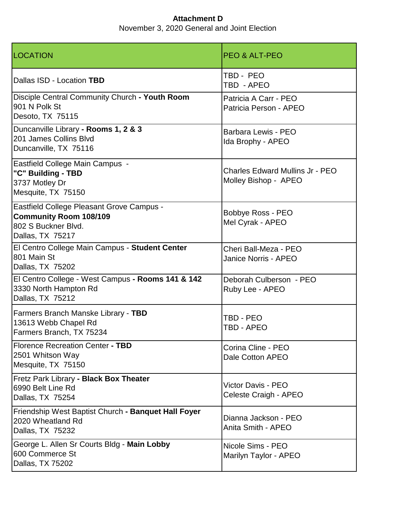| <b>LOCATION</b>                                                                                                       | <b>PEO &amp; ALT-PEO</b>                                       |
|-----------------------------------------------------------------------------------------------------------------------|----------------------------------------------------------------|
| Dallas ISD - Location TBD                                                                                             | TBD - PEO<br>TBD - APEO                                        |
| Disciple Central Community Church - Youth Room<br>901 N Polk St<br>Desoto, TX 75115                                   | Patricia A Carr - PEO<br>Patricia Person - APEO                |
| Duncanville Library - Rooms 1, 2 & 3<br>201 James Collins Blvd<br>Duncanville, TX 75116                               | Barbara Lewis - PEO<br>Ida Brophy - APEO                       |
| Eastfield College Main Campus -<br>"C" Building - TBD<br>3737 Motley Dr<br>Mesquite, TX 75150                         | <b>Charles Edward Mullins Jr - PEO</b><br>Molley Bishop - APEO |
| Eastfield College Pleasant Grove Campus -<br><b>Community Room 108/109</b><br>802 S Buckner Blvd.<br>Dallas, TX 75217 | Bobbye Ross - PEO<br>Mel Cyrak - APEO                          |
| El Centro College Main Campus - Student Center<br>801 Main St<br>Dallas, TX 75202                                     | Cheri Ball-Meza - PEO<br><b>Janice Norris - APEO</b>           |
| El Centro College - West Campus - Rooms 141 & 142<br>3330 North Hampton Rd<br>Dallas, TX 75212                        | Deborah Culberson - PEO<br>Ruby Lee - APEO                     |
| Farmers Branch Manske Library - TBD<br>13613 Webb Chapel Rd<br>Farmers Branch, TX 75234                               | TBD - PEO<br>TBD - APEO                                        |
| <b>Florence Recreation Center - TBD</b><br>2501 Whitson Way<br>Mesquite, TX 75150                                     | Corina Cline - PEO<br>Dale Cotton APEO                         |
| Fretz Park Library - Black Box Theater<br>6990 Belt Line Rd<br>Dallas, TX 75254                                       | Victor Davis - PEO<br>Celeste Craigh - APEO                    |
| Friendship West Baptist Church - Banquet Hall Foyer<br>2020 Wheatland Rd<br>Dallas, TX 75232                          | Dianna Jackson - PEO<br>Anita Smith - APEO                     |
| George L. Allen Sr Courts Bldg - Main Lobby<br>600 Commerce St<br>Dallas, TX 75202                                    | Nicole Sims - PEO<br>Marilyn Taylor - APEO                     |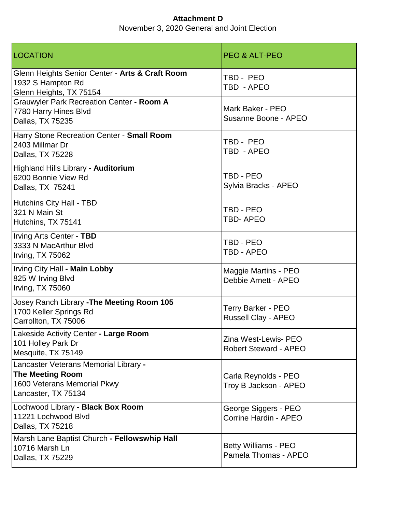| LOCATION                                                                                                               | <b>PEO &amp; ALT-PEO</b>                             |
|------------------------------------------------------------------------------------------------------------------------|------------------------------------------------------|
| Glenn Heights Senior Center - Arts & Craft Room<br>1932 S Hampton Rd<br>Glenn Heights, TX 75154                        | TBD - PEO<br>TBD - APEO                              |
| Grauwyler Park Recreation Center - Room A<br>7780 Harry Hines Blvd<br>Dallas, TX 75235                                 | Mark Baker - PEO<br>Susanne Boone - APEO             |
| Harry Stone Recreation Center - Small Room<br>2403 Millmar Dr<br>Dallas, TX 75228                                      | TBD - PEO<br>TBD - APEO                              |
| Highland Hills Library - Auditorium<br>6200 Bonnie View Rd<br>Dallas, TX 75241                                         | TBD - PEO<br>Sylvia Bracks - APEO                    |
| Hutchins City Hall - TBD<br>321 N Main St<br>Hutchins, TX 75141                                                        | TBD - PEO<br>TBD-APEO                                |
| Irving Arts Center - TBD<br>3333 N MacArthur Blvd<br>Irving, TX 75062                                                  | TBD - PEO<br>TBD - APEO                              |
| Irving City Hall - Main Lobby<br>825 W Irving Blvd<br><b>Irving, TX 75060</b>                                          | Maggie Martins - PEO<br>Debbie Arnett - APEO         |
| Josey Ranch Library - The Meeting Room 105<br>1700 Keller Springs Rd<br>Carrollton, TX 75006                           | Terry Barker - PEO<br><b>Russell Clay - APEO</b>     |
| Lakeside Activity Center - Large Room<br>101 Holley Park Dr<br>Mesquite, TX 75149                                      | Zina West-Lewis- PEO<br><b>Robert Steward - APEO</b> |
| Lancaster Veterans Memorial Library -<br><b>The Meeting Room</b><br>1600 Veterans Memorial Pkwy<br>Lancaster, TX 75134 | Carla Reynolds - PEO<br>Troy B Jackson - APEO        |
| Lochwood Library - Black Box Room<br>11221 Lochwood Blvd<br>Dallas, TX 75218                                           | George Siggers - PEO<br>Corrine Hardin - APEO        |
| Marsh Lane Baptist Church - Fellowswhip Hall<br>10716 Marsh Ln<br>Dallas, TX 75229                                     | Betty Williams - PEO<br>Pamela Thomas - APEO         |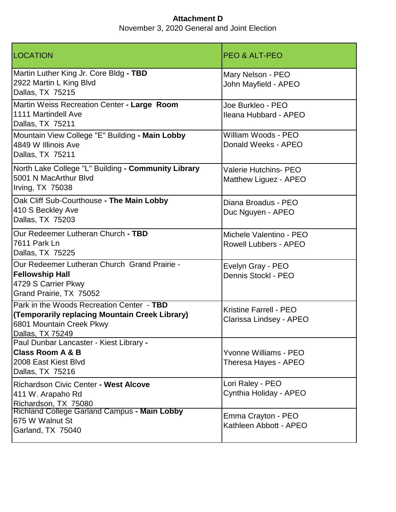LOCATION PEO & ALT-PEO Martin Luther King Jr. Core Bldg **- TBD** 2922 Martin L King Blvd Dallas, TX 75215 Mary Nelson - PEO John Mayfield - APEO Martin Weiss Recreation Center **- Large Room** 1111 Martindell Ave Dallas, TX 75211 Joe Burkleo - PEO Ileana Hubbard - APEO Mountain View College "E" Building **- Main Lobby** 4849 W Illinois Ave Dallas, TX 75211 William Woods - PEO Donald Weeks - APEO North Lake College "L" Building **- Community Library** 5001 N MacArthur Blvd Irving, TX 75038 Valerie Hutchins- PEO Matthew Liguez - APEO Oak Cliff Sub-Courthouse **- The Main Lobby** 410 S Beckley Ave Dallas, TX 75203 Diana Broadus - PEO Duc Nguyen - APEO Our Redeemer Lutheran Church **- TBD** 7611 Park Ln Dallas, TX 75225 Michele Valentino - PEO Rowell Lubbers - APEO Our Redeemer Lutheran Church Grand Prairie - **Fellowship Hall** 4729 S Carrier Pkwy Grand Prairie, TX 75052 Evelyn Gray - PEO Dennis Stockl - PEO Park in the Woods Recreation Center - **TBD (Temporarily replacing Mountain Creek Library)**  6801 Mountain Creek Pkwy Dallas, TX 75249 Kristine Farrell - PEO Clarissa Lindsey - APEO Paul Dunbar Lancaster - Kiest Library **- Class Room A & B** 2008 East Kiest Blvd Dallas, TX 75216 Yvonne Williams - PEO Theresa Hayes - APEO Richardson Civic Center **- West Alcove** 411 W. Arapaho Rd Richardson, TX 75080 Lori Raley - PEO Cynthia Holiday - APEO Richland College Garland Campus **- Main Lobby** 675 W Walnut St Garland, TX 75040 Emma Crayton - PEO Kathleen Abbott - APEO